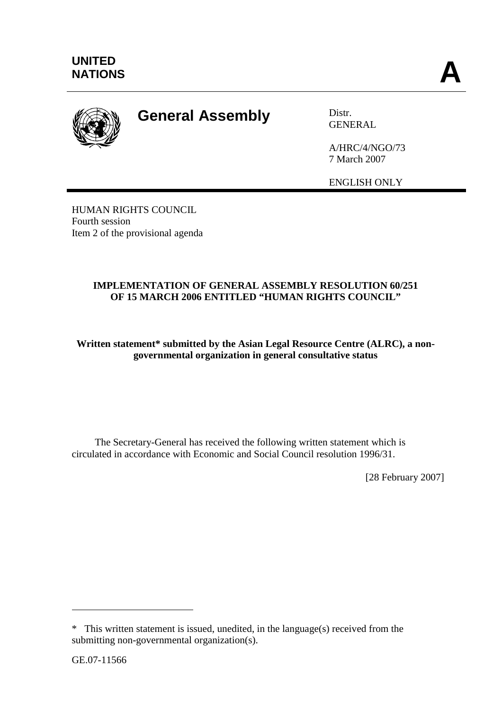

## **General Assembly** Distr.

**GENERAL** 

A/HRC/4/NGO/73 7 March 2007

ENGLISH ONLY

HUMAN RIGHTS COUNCIL Fourth session Item 2 of the provisional agenda

## **IMPLEMENTATION OF GENERAL ASSEMBLY RESOLUTION 60/251 OF 15 MARCH 2006 ENTITLED "HUMAN RIGHTS COUNCIL"**

**Written statement\* submitted by the Asian Legal Resource Centre (ALRC), a nongovernmental organization in general consultative status** 

 The Secretary-General has received the following written statement which is circulated in accordance with Economic and Social Council resolution 1996/31.

[28 February 2007]

 $\overline{a}$ 

<sup>\*</sup> This written statement is issued, unedited, in the language(s) received from the submitting non-governmental organization(s).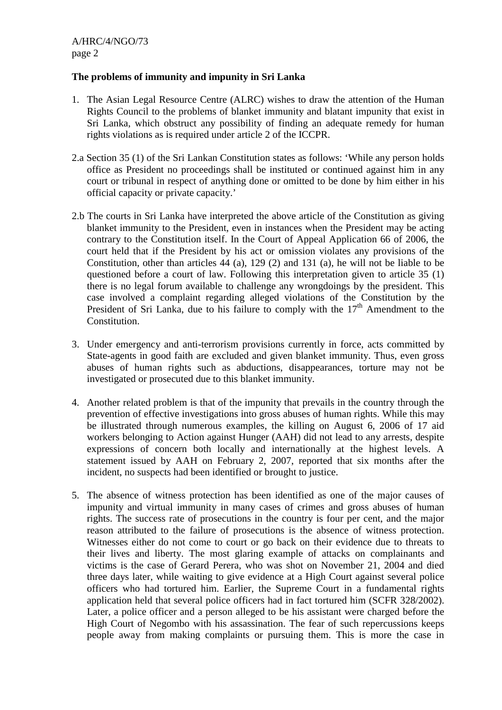## **The problems of immunity and impunity in Sri Lanka**

- 1. The Asian Legal Resource Centre (ALRC) wishes to draw the attention of the Human Rights Council to the problems of blanket immunity and blatant impunity that exist in Sri Lanka, which obstruct any possibility of finding an adequate remedy for human rights violations as is required under article 2 of the ICCPR.
- 2.a Section 35 (1) of the Sri Lankan Constitution states as follows: 'While any person holds office as President no proceedings shall be instituted or continued against him in any court or tribunal in respect of anything done or omitted to be done by him either in his official capacity or private capacity.'
- 2.b The courts in Sri Lanka have interpreted the above article of the Constitution as giving blanket immunity to the President, even in instances when the President may be acting contrary to the Constitution itself. In the Court of Appeal Application 66 of 2006, the court held that if the President by his act or omission violates any provisions of the Constitution, other than articles 44 (a), 129 (2) and 131 (a), he will not be liable to be questioned before a court of law. Following this interpretation given to article 35 (1) there is no legal forum available to challenge any wrongdoings by the president. This case involved a complaint regarding alleged violations of the Constitution by the President of Sri Lanka, due to his failure to comply with the  $17<sup>th</sup>$  Amendment to the Constitution.
- 3. Under emergency and anti-terrorism provisions currently in force, acts committed by State-agents in good faith are excluded and given blanket immunity. Thus, even gross abuses of human rights such as abductions, disappearances, torture may not be investigated or prosecuted due to this blanket immunity.
- 4. Another related problem is that of the impunity that prevails in the country through the prevention of effective investigations into gross abuses of human rights. While this may be illustrated through numerous examples, the killing on August 6, 2006 of 17 aid workers belonging to Action against Hunger (AAH) did not lead to any arrests, despite expressions of concern both locally and internationally at the highest levels. A statement issued by AAH on February 2, 2007, reported that six months after the incident, no suspects had been identified or brought to justice.
- 5. The absence of witness protection has been identified as one of the major causes of impunity and virtual immunity in many cases of crimes and gross abuses of human rights. The success rate of prosecutions in the country is four per cent, and the major reason attributed to the failure of prosecutions is the absence of witness protection. Witnesses either do not come to court or go back on their evidence due to threats to their lives and liberty. The most glaring example of attacks on complainants and victims is the case of Gerard Perera, who was shot on November 21, 2004 and died three days later, while waiting to give evidence at a High Court against several police officers who had tortured him. Earlier, the Supreme Court in a fundamental rights application held that several police officers had in fact tortured him (SCFR 328/2002). Later, a police officer and a person alleged to be his assistant were charged before the High Court of Negombo with his assassination. The fear of such repercussions keeps people away from making complaints or pursuing them. This is more the case in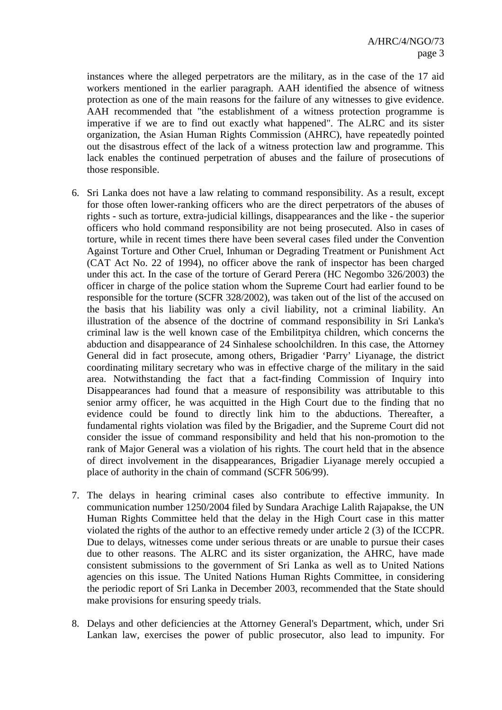instances where the alleged perpetrators are the military, as in the case of the 17 aid workers mentioned in the earlier paragraph. AAH identified the absence of witness protection as one of the main reasons for the failure of any witnesses to give evidence. AAH recommended that "the establishment of a witness protection programme is imperative if we are to find out exactly what happened". The ALRC and its sister organization, the Asian Human Rights Commission (AHRC), have repeatedly pointed out the disastrous effect of the lack of a witness protection law and programme. This lack enables the continued perpetration of abuses and the failure of prosecutions of those responsible.

- 6. Sri Lanka does not have a law relating to command responsibility. As a result, except for those often lower-ranking officers who are the direct perpetrators of the abuses of rights - such as torture, extra-judicial killings, disappearances and the like - the superior officers who hold command responsibility are not being prosecuted. Also in cases of torture, while in recent times there have been several cases filed under the Convention Against Torture and Other Cruel, Inhuman or Degrading Treatment or Punishment Act (CAT Act No. 22 of 1994), no officer above the rank of inspector has been charged under this act. In the case of the torture of Gerard Perera (HC Negombo 326/2003) the officer in charge of the police station whom the Supreme Court had earlier found to be responsible for the torture (SCFR 328/2002), was taken out of the list of the accused on the basis that his liability was only a civil liability, not a criminal liability. An illustration of the absence of the doctrine of command responsibility in Sri Lanka's criminal law is the well known case of the Embilitpitya children, which concerns the abduction and disappearance of 24 Sinhalese schoolchildren. In this case, the Attorney General did in fact prosecute, among others, Brigadier 'Parry' Liyanage, the district coordinating military secretary who was in effective charge of the military in the said area. Notwithstanding the fact that a fact-finding Commission of Inquiry into Disappearances had found that a measure of responsibility was attributable to this senior army officer, he was acquitted in the High Court due to the finding that no evidence could be found to directly link him to the abductions. Thereafter, a fundamental rights violation was filed by the Brigadier, and the Supreme Court did not consider the issue of command responsibility and held that his non-promotion to the rank of Major General was a violation of his rights. The court held that in the absence of direct involvement in the disappearances, Brigadier Liyanage merely occupied a place of authority in the chain of command (SCFR 506/99).
- 7. The delays in hearing criminal cases also contribute to effective immunity. In communication number 1250/2004 filed by Sundara Arachige Lalith Rajapakse, the UN Human Rights Committee held that the delay in the High Court case in this matter violated the rights of the author to an effective remedy under article 2 (3) of the ICCPR. Due to delays, witnesses come under serious threats or are unable to pursue their cases due to other reasons. The ALRC and its sister organization, the AHRC, have made consistent submissions to the government of Sri Lanka as well as to United Nations agencies on this issue. The United Nations Human Rights Committee, in considering the periodic report of Sri Lanka in December 2003, recommended that the State should make provisions for ensuring speedy trials.
- 8. Delays and other deficiencies at the Attorney General's Department, which, under Sri Lankan law, exercises the power of public prosecutor, also lead to impunity. For